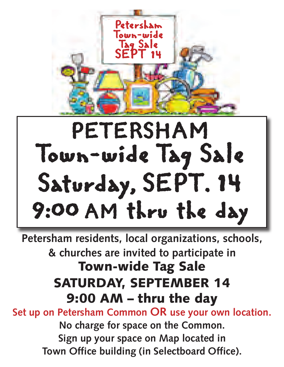

# PETERSHAM Town-wide Tag Sale Saturday, SEPT. 14 9:00 AM thru the day

**Petersham residents, local organizations, schools, & churches are invited to participate in Town-wide Tag Sale SATURDAY, SEPTEMBER 14 9:00 AM – thru the day Set up on Petersham Common OR use your own location. No charge for space on the Common. Sign up your space on Map located in Town Office building (in Selectboard Office).**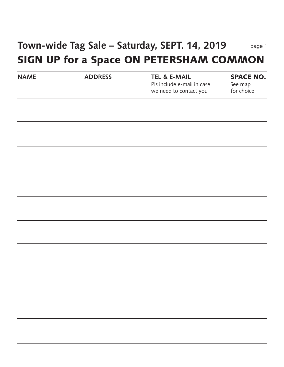#### **Town-wide Tag Sale – Saturday, SEPT. 14, 2019 SIGN UP for a Space ON PETERSHAM COMMON** page 1

| <b>NAME</b> | <b>ADDRESS</b> | <b>TEL &amp; E-MAIL</b><br>Pls include e-mail in case<br>we need to contact you | <b>SPACE NO.</b><br>See map<br>for choice |
|-------------|----------------|---------------------------------------------------------------------------------|-------------------------------------------|
|             |                |                                                                                 |                                           |
|             |                |                                                                                 |                                           |
|             |                |                                                                                 |                                           |
|             |                |                                                                                 |                                           |
|             |                |                                                                                 |                                           |
|             |                |                                                                                 |                                           |
|             |                |                                                                                 |                                           |
|             |                |                                                                                 |                                           |
|             |                |                                                                                 |                                           |
|             |                |                                                                                 |                                           |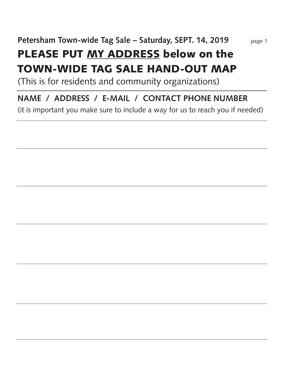## **PLEASE PUT MY ADDRESS below on the TOWN-WIDE TAG SALE HAND-OUT MAP**

(This is for residents and community organizations)

### **NAME / ADDRESS / E-MAIL / CONTACT PHONE NUMBER**

(it is important you make sure to include a way for us to reach you if needed)